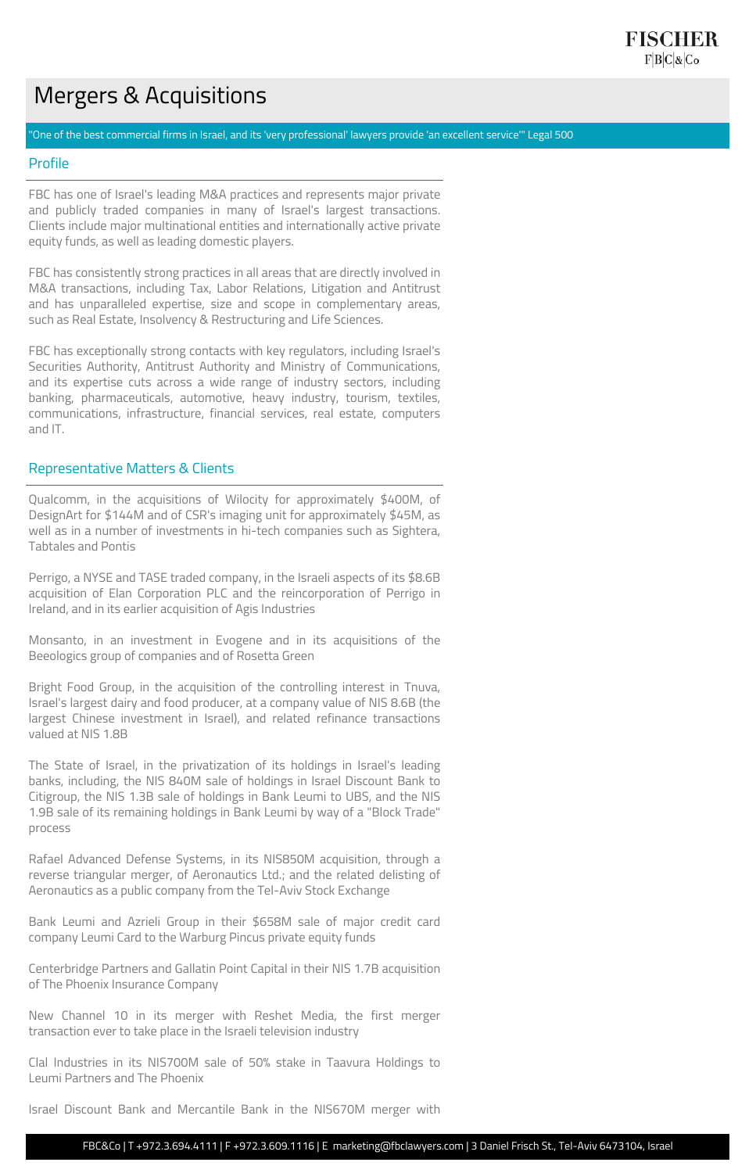# Mergers & Acquisitions

"One of the best commercial firms in Israel, and its 'very professional' lawyers provide 'an excellent service'" Legal 500

#### Profile

FBC has one of Israel's leading M&A practices and represents major private and publicly traded companies in many of Israel's largest transactions. Clients include major multinational entities and internationally active private equity funds, as well as leading domestic players.

FBC has consistently strong practices in all areas that are directly involved in M&A transactions, including Tax, Labor Relations, Litigation and Antitrust and has unparalleled expertise, size and scope in complementary areas, such as Real Estate, Insolvency & Restructuring and Life Sciences.

FBC has exceptionally strong contacts with key regulators, including Israel's Securities Authority, Antitrust Authority and Ministry of Communications, and its expertise cuts across a wide range of industry sectors, including banking, pharmaceuticals, automotive, heavy industry, tourism, textiles, communications, infrastructure, financial services, real estate, computers and IT.

#### Representative Matters & Clients

Qualcomm, in the acquisitions of Wilocity for approximately \$400M, of DesignArt for \$144M and of CSR's imaging unit for approximately \$45M, as well as in a number of investments in hi-tech companies such as Sightera, Tabtales and Pontis

Perrigo, a NYSE and TASE traded company, in the Israeli aspects of its \$8.6B acquisition of Elan Corporation PLC and the reincorporation of Perrigo in Ireland, and in its earlier acquisition of Agis Industries

Monsanto, in an investment in Evogene and in its acquisitions of the Beeologics group of companies and of Rosetta Green

Bright Food Group, in the acquisition of the controlling interest in Tnuva, Israel's largest dairy and food producer, at a company value of NIS 8.6B (the largest Chinese investment in Israel), and related refinance transactions valued at NIS 1.8B

The State of Israel, in the privatization of its holdings in Israel's leading banks, including, the NIS 840M sale of holdings in Israel Discount Bank to Citigroup, the NIS 1.3B sale of holdings in Bank Leumi to UBS, and the NIS 1.9B sale of its remaining holdings in Bank Leumi by way of a "Block Trade"

process

Rafael Advanced Defense Systems, in its NIS850M acquisition, through a reverse triangular merger, of Aeronautics Ltd.; and the related delisting of Aeronautics as a public company from the Tel-Aviv Stock Exchange

Bank Leumi and Azrieli Group in their \$658M sale of major credit card company Leumi Card to the Warburg Pincus private equity funds

Centerbridge Partners and Gallatin Point Capital in their NIS 1.7B acquisition of The Phoenix Insurance Company

New Channel 10 in its merger with Reshet Media, the first merger transaction ever to take place in the Israeli television industry

Clal Industries in its NIS700M sale of 50% stake in Taavura Holdings to Leumi Partners and The Phoenix

Israel Discount Bank and Mercantile Bank in the NIS670M merger with

FBC&Co | T +972.3.694.4111 | F +972.3.609.1116 | E marketing@fbclawyers.com | 3 Daniel Frisch St., Tel-Aviv 6473104, Israel